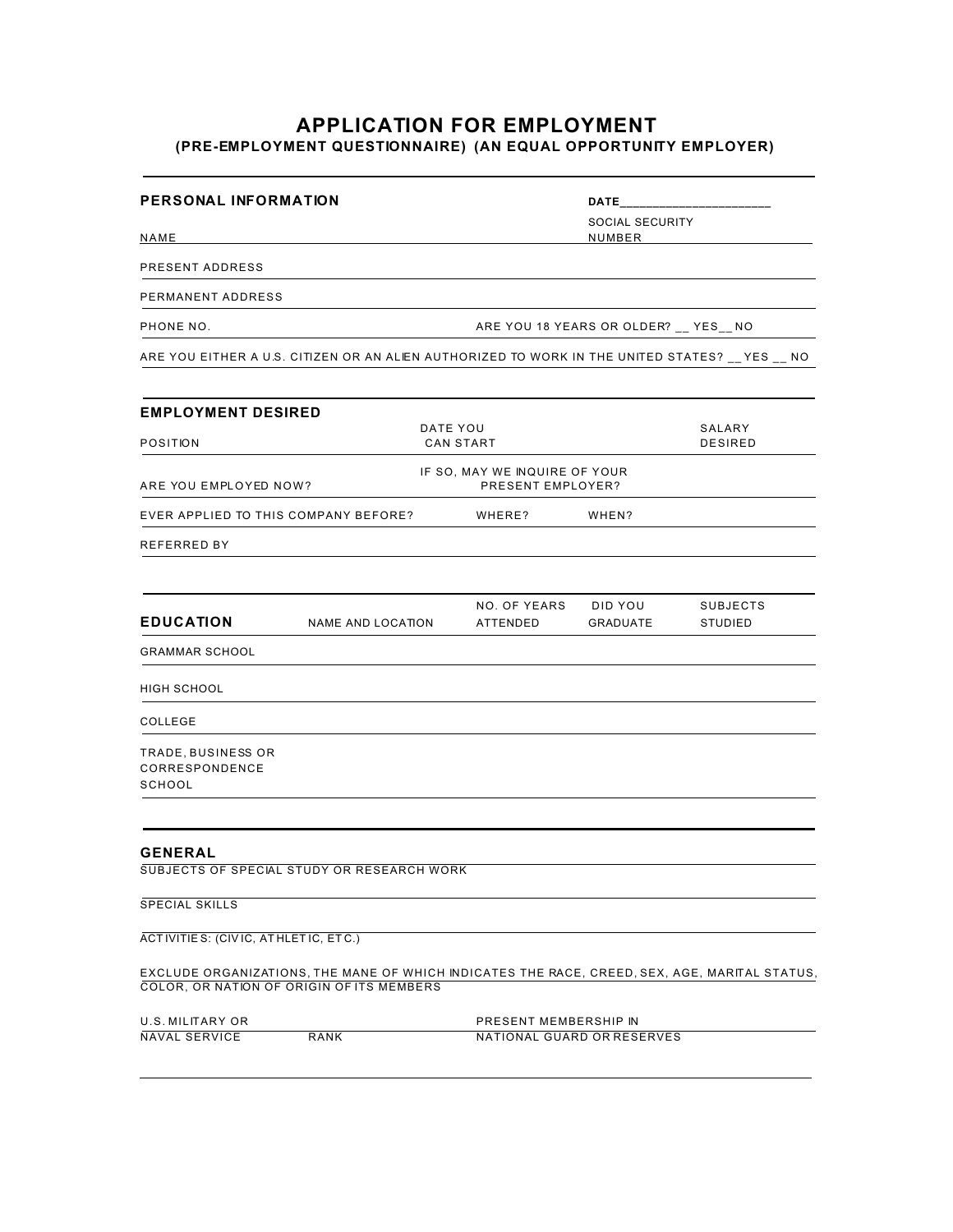## **APPLICATION FOR EMPLOYMENT (PRE-EMPLOYMENT QUESTIONNAIRE) (AN EQUAL OPPORTUNITY EMPLOYER)**

| <b>PERSONAL INFORMATION</b>                    |                                                                                                                                            |                                                     | <b>DATE</b>                            |                                   |
|------------------------------------------------|--------------------------------------------------------------------------------------------------------------------------------------------|-----------------------------------------------------|----------------------------------------|-----------------------------------|
| NAME                                           |                                                                                                                                            |                                                     | SOCIAL SECURITY<br>NUMBER              |                                   |
| PRESENT ADDRESS                                |                                                                                                                                            |                                                     |                                        |                                   |
| PERMANENT ADDRESS                              |                                                                                                                                            |                                                     |                                        |                                   |
| PHONE NO.                                      |                                                                                                                                            |                                                     | ARE YOU 18 YEARS OR OLDER? __ YES__ NO |                                   |
|                                                | ARE YOU EITHER A U.S. CITIZEN OR AN ALIEN AUTHORIZED TO WORK IN THE UNITED STATES? __ YES __ NO                                            |                                                     |                                        |                                   |
| <b>EMPLOYMENT DESIRED</b>                      |                                                                                                                                            |                                                     |                                        |                                   |
| POSITION                                       | DATE YOU                                                                                                                                   | <b>CAN START</b>                                    |                                        | SALARY<br><b>DESIRED</b>          |
| ARE YOU EMPLOYED NOW?                          |                                                                                                                                            | IF SO, MAY WE INQUIRE OF YOUR<br>PRESENT EMPLOYER?  |                                        |                                   |
| EVER APPLIED TO THIS COMPANY BEFORE?           |                                                                                                                                            | WHERE?                                              | WHEN?                                  |                                   |
| <b>REFERRED BY</b>                             |                                                                                                                                            |                                                     |                                        |                                   |
| <b>EDUCATION</b>                               | <b>NAME AND LOCATION</b>                                                                                                                   | NO. OF YEARS<br>ATTENDED                            | DID YOU<br>GRADUATE                    | <b>SUBJECTS</b><br><b>STUDIED</b> |
| <b>GRAMMAR SCHOOL</b>                          |                                                                                                                                            |                                                     |                                        |                                   |
| HIGH SCHOOL                                    |                                                                                                                                            |                                                     |                                        |                                   |
| COLLEGE                                        |                                                                                                                                            |                                                     |                                        |                                   |
| TRADE, BUSINESS OR<br>CORRESPONDENCE<br>SCHOOL |                                                                                                                                            |                                                     |                                        |                                   |
| <b>GENERAL</b>                                 | SUBJECTS OF SPECIAL STUDY OR RESEARCH WORK                                                                                                 |                                                     |                                        |                                   |
| SPECIAL SKILLS                                 |                                                                                                                                            |                                                     |                                        |                                   |
| ACTIVITIES: (CIVIC, ATHLETIC, ETC.)            |                                                                                                                                            |                                                     |                                        |                                   |
|                                                | EXCLUDE ORGANIZATIONS, THE MANE OF WHICH INDICATES THE RACE, CREED, SEX, AGE, MARITAL STATUS,<br>COLOR, OR NATION OF ORIGIN OF ITS MEMBERS |                                                     |                                        |                                   |
| U.S. MILITARY OR<br><b>NAVAL SERVICE</b>       | RANK                                                                                                                                       | PRESENT MEMBERSHIP IN<br>NATIONAL GUARD OR RESERVES |                                        |                                   |